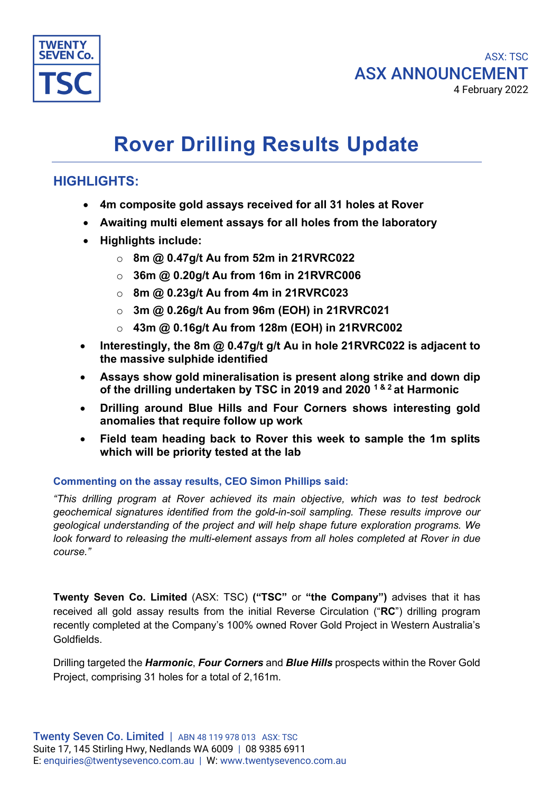

### ASX: TSC ASX ANNOUNCEMENT 4 February 2022

# **Rover Drilling Results Update**

## **HIGHLIGHTS:**

- **4m composite gold assays received for all 31 holes at Rover**
- **Awaiting multi element assays for all holes from the laboratory**
- **Highlights include:**
	- o **8m @ 0.47g/t Au from 52m in 21RVRC022**
	- o **36m @ 0.20g/t Au from 16m in 21RVRC006**
	- o **8m @ 0.23g/t Au from 4m in 21RVRC023**
	- o **3m @ 0.26g/t Au from 96m (EOH) in 21RVRC021**
	- o **43m @ 0.16g/t Au from 128m (EOH) in 21RVRC002**
- **Interestingly, the 8m @ 0.47g/t g/t Au in hole 21RVRC022 is adjacent to the massive sulphide identified**
- **Assays show gold mineralisation is present along strike and down dip of the drilling undertaken by TSC in 2019 and 2020 1 & 2 at Harmonic**
- **Drilling around Blue Hills and Four Corners shows interesting gold anomalies that require follow up work**
- **Field team heading back to Rover this week to sample the 1m splits which will be priority tested at the lab**

#### **Commenting on the assay results, CEO Simon Phillips said:**

*"This drilling program at Rover achieved its main objective, which was to test bedrock geochemical signatures identified from the gold-in-soil sampling. These results improve our geological understanding of the project and will help shape future exploration programs. We look forward to releasing the multi-element assays from all holes completed at Rover in due course."*

**Twenty Seven Co. Limited** (ASX: TSC) **("TSC"** or **"the Company")** advises that it has received all gold assay results from the initial Reverse Circulation ("**RC**") drilling program recently completed at the Company's 100% owned Rover Gold Project in Western Australia's Goldfields.

Drilling targeted the *Harmonic*, *Four Corners* and *Blue Hills* prospects within the Rover Gold Project, comprising 31 holes for a total of 2,161m.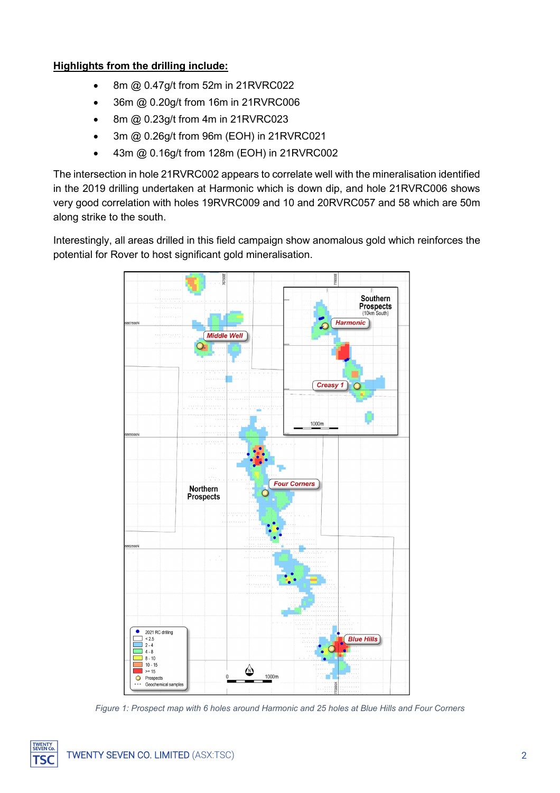#### **Highlights from the drilling include:**

- 8m @ 0.47g/t from 52m in 21RVRC022
- 36m @ 0.20g/t from 16m in 21RVRC006
- 8m @ 0.23g/t from 4m in 21RVRC023
- 3m @ 0.26g/t from 96m (EOH) in 21RVRC021
- 43m @ 0.16g/t from 128m (EOH) in 21RVRC002

The intersection in hole 21RVRC002 appears to correlate well with the mineralisation identified in the 2019 drilling undertaken at Harmonic which is down dip, and hole 21RVRC006 shows very good correlation with holes 19RVRC009 and 10 and 20RVRC057 and 58 which are 50m along strike to the south.

Interestingly, all areas drilled in this field campaign show anomalous gold which reinforces the potential for Rover to host significant gold mineralisation.



*Figure 1: Prospect map with 6 holes around Harmonic and 25 holes at Blue Hills and Four Corners*

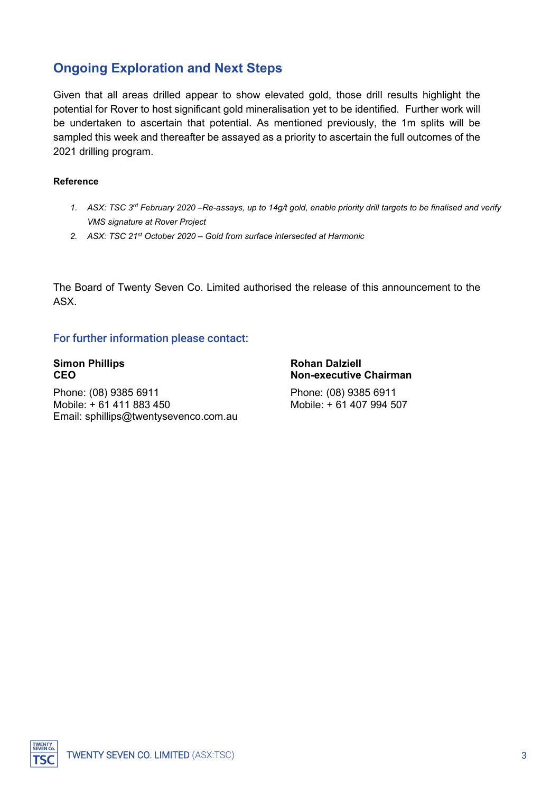# **Ongoing Exploration and Next Steps**

Given that all areas drilled appear to show elevated gold, those drill results highlight the potential for Rover to host significant gold mineralisation yet to be identified. Further work will be undertaken to ascertain that potential. As mentioned previously, the 1m splits will be sampled this week and thereafter be assayed as a priority to ascertain the full outcomes of the 2021 drilling program.

#### **Reference**

- *1. ASX: TSC 3rd February 2020 –Re-assays, up to 14g/t gold, enable priority drill targets to be finalised and verify VMS signature at Rover Project*
- *2. ASX: TSC 21st October 2020 – Gold from surface intersected at Harmonic*

The Board of Twenty Seven Co. Limited authorised the release of this announcement to the ASX.

#### For further information please contact:

Phone: (08) 9385 6911 Phone: (08) 9385 6911 Mobile: + 61 411 883 450 Mobile: + 61 407 994 507 Email: sphillips@twentysevenco.com.au

**Simon Phillips**<br>CEO **Rohan Dalziell**<br>CEO **Rohan Dalziell CEO Non-executive Chairman**

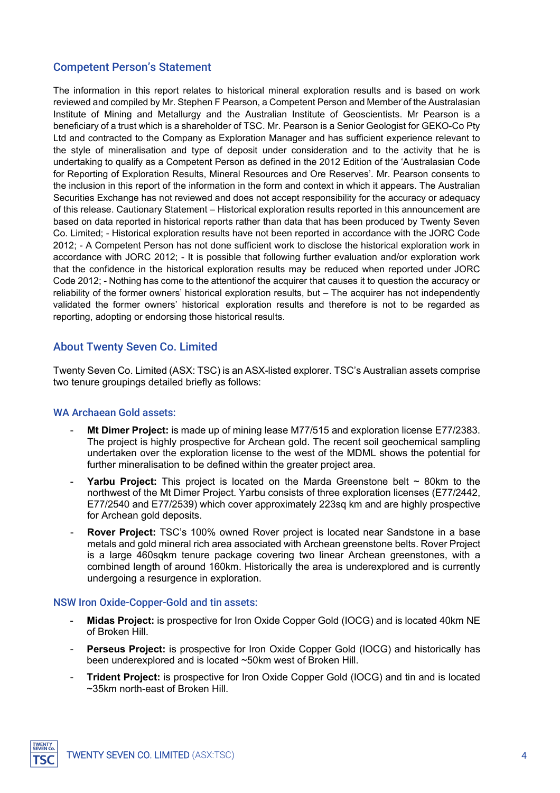#### Competent Person's Statement

The information in this report relates to historical mineral exploration results and is based on work reviewed and compiled by Mr. Stephen F Pearson, a Competent Person and Member of the Australasian Institute of Mining and Metallurgy and the Australian Institute of Geoscientists. Mr Pearson is a beneficiary of a trust which is a shareholder of TSC. Mr. Pearson is a Senior Geologist for GEKO-Co Pty Ltd and contracted to the Company as Exploration Manager and has sufficient experience relevant to the style of mineralisation and type of deposit under consideration and to the activity that he is undertaking to qualify as a Competent Person as defined in the 2012 Edition of the 'Australasian Code for Reporting of Exploration Results, Mineral Resources and Ore Reserves'. Mr. Pearson consents to the inclusion in this report of the information in the form and context in which it appears. The Australian Securities Exchange has not reviewed and does not accept responsibility for the accuracy or adequacy of this release. Cautionary Statement – Historical exploration results reported in this announcement are based on data reported in historical reports rather than data that has been produced by Twenty Seven Co. Limited; - Historical exploration results have not been reported in accordance with the JORC Code 2012; - A Competent Person has not done sufficient work to disclose the historical exploration work in accordance with JORC 2012; - It is possible that following further evaluation and/or exploration work that the confidence in the historical exploration results may be reduced when reported under JORC Code 2012; - Nothing has come to the attentionof the acquirer that causes it to question the accuracy or reliability of the former owners' historical exploration results, but – The acquirer has not independently validated the former owners' historical exploration results and therefore is not to be regarded as reporting, adopting or endorsing those historical results.

#### About Twenty Seven Co. Limited

Twenty Seven Co. Limited (ASX: TSC) is an ASX-listed explorer. TSC's Australian assets comprise two tenure groupings detailed briefly as follows:

#### WA Archaean Gold assets:

- **Mt Dimer Project:** is made up of mining lease M77/515 and exploration license E77/2383. The project is highly prospective for Archean gold. The recent soil geochemical sampling undertaken over the exploration license to the west of the MDML shows the potential for further mineralisation to be defined within the greater project area.
- **Yarbu Project:** This project is located on the Marda Greenstone belt ~ 80km to the northwest of the Mt Dimer Project. Yarbu consists of three exploration licenses (E77/2442, E77/2540 and E77/2539) which cover approximately 223sq km and are highly prospective for Archean gold deposits.
- **Rover Project:** TSC's 100% owned Rover project is located near Sandstone in a base metals and gold mineral rich area associated with Archean greenstone belts. Rover Project is a large 460sqkm tenure package covering two linear Archean greenstones, with a combined length of around 160km. Historically the area is underexplored and is currently undergoing a resurgence in exploration.

#### NSW Iron Oxide-Copper-Gold and tin assets:

- **Midas Project:** is prospective for Iron Oxide Copper Gold (IOCG) and is located 40km NE of Broken Hill.
- **Perseus Project:** is prospective for Iron Oxide Copper Gold (IOCG) and historically has been underexplored and is located ~50km west of Broken Hill.
- **Trident Project:** is prospective for Iron Oxide Copper Gold (IOCG) and tin and is located ~35km north-east of Broken Hill.

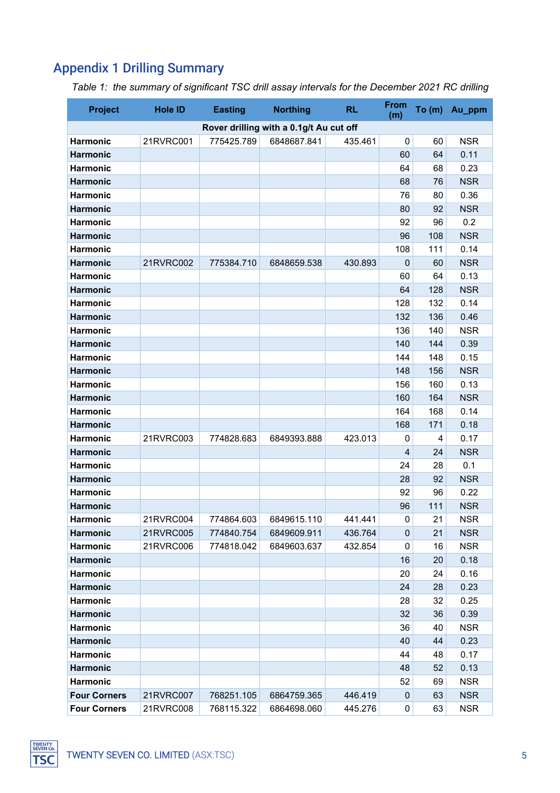# Appendix 1 Drilling Summary

| <b>Project</b>      | <b>Hole ID</b> | <b>Easting</b> | <b>Northing</b>                         | <b>RL</b> | <b>From</b><br>(m) | To $(m)$ | Au_ppm     |
|---------------------|----------------|----------------|-----------------------------------------|-----------|--------------------|----------|------------|
|                     |                |                | Rover drilling with a 0.1g/t Au cut off |           |                    |          |            |
| <b>Harmonic</b>     | 21RVRC001      | 775425.789     | 6848687.841                             | 435.461   | $\mathbf 0$        | 60       | <b>NSR</b> |
| <b>Harmonic</b>     |                |                |                                         |           | 60                 | 64       | 0.11       |
| <b>Harmonic</b>     |                |                |                                         |           | 64                 | 68       | 0.23       |
| <b>Harmonic</b>     |                |                |                                         |           | 68                 | 76       | <b>NSR</b> |
| <b>Harmonic</b>     |                |                |                                         |           | 76                 | 80       | 0.36       |
| <b>Harmonic</b>     |                |                |                                         |           | 80                 | 92       | <b>NSR</b> |
| <b>Harmonic</b>     |                |                |                                         |           | 92                 | 96       | 0.2        |
| <b>Harmonic</b>     |                |                |                                         |           | 96                 | 108      | <b>NSR</b> |
| <b>Harmonic</b>     |                |                |                                         |           | 108                | 111      | 0.14       |
| <b>Harmonic</b>     | 21RVRC002      | 775384.710     | 6848659.538                             | 430.893   | $\mathbf 0$        | 60       | <b>NSR</b> |
| <b>Harmonic</b>     |                |                |                                         |           | 60                 | 64       | 0.13       |
| <b>Harmonic</b>     |                |                |                                         |           | 64                 | 128      | <b>NSR</b> |
| <b>Harmonic</b>     |                |                |                                         |           | 128                | 132      | 0.14       |
| <b>Harmonic</b>     |                |                |                                         |           | 132                | 136      | 0.46       |
| <b>Harmonic</b>     |                |                |                                         |           | 136                | 140      | <b>NSR</b> |
| <b>Harmonic</b>     |                |                |                                         |           | 140                | 144      | 0.39       |
| <b>Harmonic</b>     |                |                |                                         |           | 144                | 148      | 0.15       |
| <b>Harmonic</b>     |                |                |                                         |           | 148                | 156      | <b>NSR</b> |
| <b>Harmonic</b>     |                |                |                                         |           | 156                | 160      | 0.13       |
| <b>Harmonic</b>     |                |                |                                         |           | 160                | 164      | <b>NSR</b> |
| <b>Harmonic</b>     |                |                |                                         |           | 164                | 168      | 0.14       |
| <b>Harmonic</b>     |                |                |                                         |           | 168                | 171      | 0.18       |
| <b>Harmonic</b>     | 21RVRC003      | 774828.683     | 6849393.888                             | 423.013   | 0                  | 4        | 0.17       |
| <b>Harmonic</b>     |                |                |                                         |           | 4                  | 24       | <b>NSR</b> |
| <b>Harmonic</b>     |                |                |                                         |           | 24                 | 28       | 0.1        |
| <b>Harmonic</b>     |                |                |                                         |           | 28                 | 92       | <b>NSR</b> |
| <b>Harmonic</b>     |                |                |                                         |           | 92                 | 96       | 0.22       |
| <b>Harmonic</b>     |                |                |                                         |           | 96                 | 111      | <b>NSR</b> |
| <b>Harmonic</b>     | 21RVRC004      | 774864.603     | 6849615.110                             | 441.441   | $\pmb{0}$          | 21       | <b>NSR</b> |
| <b>Harmonic</b>     | 21RVRC005      | 774840.754     | 6849609.911                             | 436.764   | $\mathbf 0$        | 21       | <b>NSR</b> |
| <b>Harmonic</b>     | 21RVRC006      | 774818.042     | 6849603.637                             | 432.854   | 0                  | 16       | <b>NSR</b> |
| <b>Harmonic</b>     |                |                |                                         |           | 16                 | 20       | 0.18       |
| <b>Harmonic</b>     |                |                |                                         |           | 20                 | 24       | 0.16       |
| <b>Harmonic</b>     |                |                |                                         |           | 24                 | 28       | 0.23       |
| <b>Harmonic</b>     |                |                |                                         |           | 28                 | 32       | 0.25       |
| <b>Harmonic</b>     |                |                |                                         |           | 32                 | 36       | 0.39       |
| <b>Harmonic</b>     |                |                |                                         |           | 36                 | 40       | <b>NSR</b> |
| <b>Harmonic</b>     |                |                |                                         |           | 40                 | 44       | 0.23       |
| <b>Harmonic</b>     |                |                |                                         |           | 44                 | 48       | 0.17       |
| <b>Harmonic</b>     |                |                |                                         |           | 48                 | 52       | 0.13       |
| <b>Harmonic</b>     |                |                |                                         |           | 52                 | 69       | <b>NSR</b> |
| <b>Four Corners</b> | 21RVRC007      | 768251.105     | 6864759.365                             | 446.419   | 0                  | 63       | <b>NSR</b> |
| <b>Four Corners</b> | 21RVRC008      | 768115.322     | 6864698.060                             | 445.276   | $\pmb{0}$          | 63       | <b>NSR</b> |

*Table 1: the summary of significant TSC drill assay intervals for the December 2021 RC drilling*

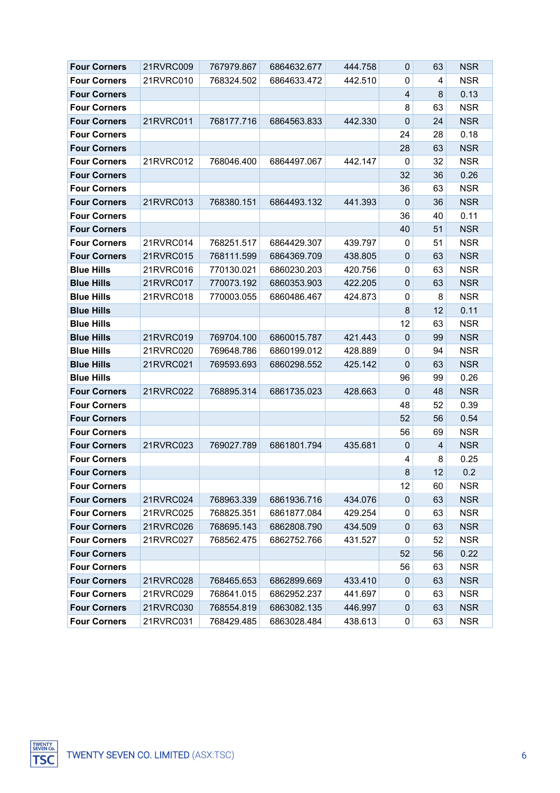| <b>Four Corners</b> | 21RVRC009 | 767979.867 | 6864632.677 | 444.758 | 0              | 63             | <b>NSR</b> |
|---------------------|-----------|------------|-------------|---------|----------------|----------------|------------|
| <b>Four Corners</b> | 21RVRC010 | 768324.502 | 6864633.472 | 442.510 | 0              | 4              | <b>NSR</b> |
| <b>Four Corners</b> |           |            |             |         | $\overline{4}$ | 8              | 0.13       |
| <b>Four Corners</b> |           |            |             |         | 8              | 63             | <b>NSR</b> |
| <b>Four Corners</b> | 21RVRC011 | 768177.716 | 6864563.833 | 442.330 | $\mathbf{0}$   | 24             | <b>NSR</b> |
| <b>Four Corners</b> |           |            |             |         | 24             | 28             | 0.18       |
| <b>Four Corners</b> |           |            |             |         | 28             | 63             | <b>NSR</b> |
| <b>Four Corners</b> | 21RVRC012 | 768046.400 | 6864497.067 | 442.147 | 0              | 32             | <b>NSR</b> |
| <b>Four Corners</b> |           |            |             |         | 32             | 36             | 0.26       |
| <b>Four Corners</b> |           |            |             |         | 36             | 63             | <b>NSR</b> |
| <b>Four Corners</b> | 21RVRC013 | 768380.151 | 6864493.132 | 441.393 | 0              | 36             | <b>NSR</b> |
| <b>Four Corners</b> |           |            |             |         | 36             | 40             | 0.11       |
| <b>Four Corners</b> |           |            |             |         | 40             | 51             | <b>NSR</b> |
| <b>Four Corners</b> | 21RVRC014 | 768251.517 | 6864429.307 | 439.797 | 0              | 51             | <b>NSR</b> |
| <b>Four Corners</b> | 21RVRC015 | 768111.599 | 6864369.709 | 438.805 | 0              | 63             | <b>NSR</b> |
| <b>Blue Hills</b>   | 21RVRC016 | 770130.021 | 6860230.203 | 420.756 | 0              | 63             | <b>NSR</b> |
| <b>Blue Hills</b>   | 21RVRC017 | 770073.192 | 6860353.903 | 422.205 | 0              | 63             | <b>NSR</b> |
| <b>Blue Hills</b>   | 21RVRC018 | 770003.055 | 6860486.467 | 424.873 | 0              | 8              | <b>NSR</b> |
| <b>Blue Hills</b>   |           |            |             |         | 8              | 12             | 0.11       |
| <b>Blue Hills</b>   |           |            |             |         | 12             | 63             | <b>NSR</b> |
| <b>Blue Hills</b>   | 21RVRC019 | 769704.100 | 6860015.787 | 421.443 | 0              | 99             | <b>NSR</b> |
| <b>Blue Hills</b>   | 21RVRC020 | 769648.786 | 6860199.012 | 428.889 | 0              | 94             | <b>NSR</b> |
| <b>Blue Hills</b>   | 21RVRC021 | 769593.693 | 6860298.552 | 425.142 | $\mathbf{0}$   | 63             | <b>NSR</b> |
| <b>Blue Hills</b>   |           |            |             |         | 96             | 99             | 0.26       |
| <b>Four Corners</b> | 21RVRC022 | 768895.314 | 6861735.023 | 428.663 | $\mathbf 0$    | 48             | <b>NSR</b> |
| <b>Four Corners</b> |           |            |             |         | 48             | 52             | 0.39       |
| <b>Four Corners</b> |           |            |             |         | 52             | 56             | 0.54       |
| <b>Four Corners</b> |           |            |             |         | 56             | 69             | <b>NSR</b> |
| <b>Four Corners</b> | 21RVRC023 | 769027.789 | 6861801.794 | 435.681 | $\mathbf 0$    | $\overline{4}$ | <b>NSR</b> |
| <b>Four Corners</b> |           |            |             |         | 4              | 8              | 0.25       |
| <b>Four Corners</b> |           |            |             |         | 8              | 12             | 0.2        |
| <b>Four Corners</b> |           |            |             |         | 12             | 60             | <b>NSR</b> |
| <b>Four Corners</b> | 21RVRC024 | 768963.339 | 6861936.716 | 434.076 | 0              | 63             | <b>NSR</b> |
| <b>Four Corners</b> | 21RVRC025 | 768825.351 | 6861877.084 | 429.254 | 0              | 63             | <b>NSR</b> |
| <b>Four Corners</b> | 21RVRC026 | 768695.143 | 6862808.790 | 434.509 | 0              | 63             | <b>NSR</b> |
| <b>Four Corners</b> | 21RVRC027 | 768562.475 | 6862752.766 | 431.527 | 0              | 52             | <b>NSR</b> |
| <b>Four Corners</b> |           |            |             |         | 52             | 56             | 0.22       |
| <b>Four Corners</b> |           |            |             |         | 56             | 63             | <b>NSR</b> |
| <b>Four Corners</b> | 21RVRC028 | 768465.653 | 6862899.669 | 433.410 | 0              | 63             | <b>NSR</b> |
| <b>Four Corners</b> | 21RVRC029 | 768641.015 | 6862952.237 | 441.697 | 0              | 63             | <b>NSR</b> |
| <b>Four Corners</b> | 21RVRC030 | 768554.819 | 6863082.135 | 446.997 | 0              | 63             | <b>NSR</b> |
| <b>Four Corners</b> | 21RVRC031 | 768429.485 | 6863028.484 | 438.613 | 0              | 63             | <b>NSR</b> |

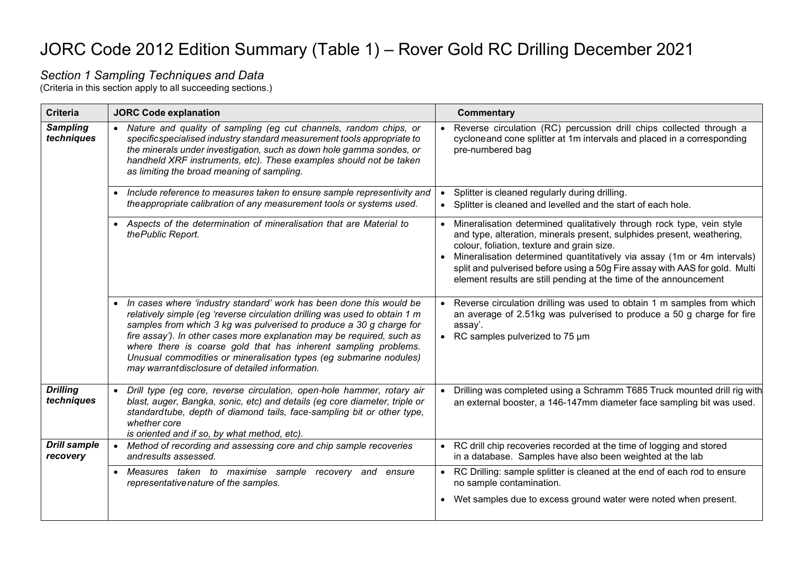# JORC Code 2012 Edition Summary (Table 1) – Rover Gold RC Drilling December 2021

#### *Section 1 Sampling Techniques and Data*

(Criteria in this section apply to all succeeding sections.)

| <b>Criteria</b>                 | <b>JORC Code explanation</b>                                                                                                                                                                                                                                                                                                                                                                                                                                                                    | <b>Commentary</b>                                                                                                                                                                                                                                                                                                                                                                                                            |
|---------------------------------|-------------------------------------------------------------------------------------------------------------------------------------------------------------------------------------------------------------------------------------------------------------------------------------------------------------------------------------------------------------------------------------------------------------------------------------------------------------------------------------------------|------------------------------------------------------------------------------------------------------------------------------------------------------------------------------------------------------------------------------------------------------------------------------------------------------------------------------------------------------------------------------------------------------------------------------|
| <b>Sampling</b><br>techniques   | • Nature and quality of sampling (eg cut channels, random chips, or<br>specificspecialised industry standard measurement tools appropriate to<br>the minerals under investigation, such as down hole gamma sondes, or<br>handheld XRF instruments, etc). These examples should not be taken<br>as limiting the broad meaning of sampling.                                                                                                                                                       | Reverse circulation (RC) percussion drill chips collected through a<br>cycloneand cone splitter at 1m intervals and placed in a corresponding<br>pre-numbered bag                                                                                                                                                                                                                                                            |
|                                 | • Include reference to measures taken to ensure sample representivity and<br>the appropriate calibration of any measurement tools or systems used.                                                                                                                                                                                                                                                                                                                                              | Splitter is cleaned regularly during drilling.<br>Splitter is cleaned and levelled and the start of each hole.                                                                                                                                                                                                                                                                                                               |
|                                 | • Aspects of the determination of mineralisation that are Material to<br>the Public Report.                                                                                                                                                                                                                                                                                                                                                                                                     | Mineralisation determined qualitatively through rock type, vein style<br>and type, alteration, minerals present, sulphides present, weathering,<br>colour, foliation, texture and grain size.<br>Mineralisation determined quantitatively via assay (1m or 4m intervals)<br>split and pulverised before using a 50g Fire assay with AAS for gold. Multi<br>element results are still pending at the time of the announcement |
|                                 | • In cases where 'industry standard' work has been done this would be<br>relatively simple (eg 'reverse circulation drilling was used to obtain 1 m<br>samples from which 3 kg was pulverised to produce a 30 g charge for<br>fire assay'). In other cases more explanation may be required, such as<br>where there is coarse gold that has inherent sampling problems.<br>Unusual commodities or mineralisation types (eg submarine nodules)<br>may warrantdisclosure of detailed information. | Reverse circulation drilling was used to obtain 1 m samples from which<br>an average of 2.51kg was pulverised to produce a 50 g charge for fire<br>assay'.<br>RC samples pulverized to 75 um                                                                                                                                                                                                                                 |
| <b>Drilling</b><br>techniques   | • Drill type (eg core, reverse circulation, open-hole hammer, rotary air<br>blast, auger, Bangka, sonic, etc) and details (eg core diameter, triple or<br>standardtube, depth of diamond tails, face-sampling bit or other type,<br>whether core<br>is oriented and if so, by what method, etc).                                                                                                                                                                                                | Drilling was completed using a Schramm T685 Truck mounted drill rig with<br>an external booster, a 146-147mm diameter face sampling bit was used.                                                                                                                                                                                                                                                                            |
| <b>Drill sample</b><br>recovery | • Method of recording and assessing core and chip sample recoveries<br>andresults assessed.                                                                                                                                                                                                                                                                                                                                                                                                     | RC drill chip recoveries recorded at the time of logging and stored<br>in a database. Samples have also been weighted at the lab                                                                                                                                                                                                                                                                                             |
|                                 | • Measures taken to maximise sample recovery and<br>ensure<br>representativenature of the samples.                                                                                                                                                                                                                                                                                                                                                                                              | RC Drilling: sample splitter is cleaned at the end of each rod to ensure<br>no sample contamination.                                                                                                                                                                                                                                                                                                                         |
|                                 |                                                                                                                                                                                                                                                                                                                                                                                                                                                                                                 | • Wet samples due to excess ground water were noted when present.                                                                                                                                                                                                                                                                                                                                                            |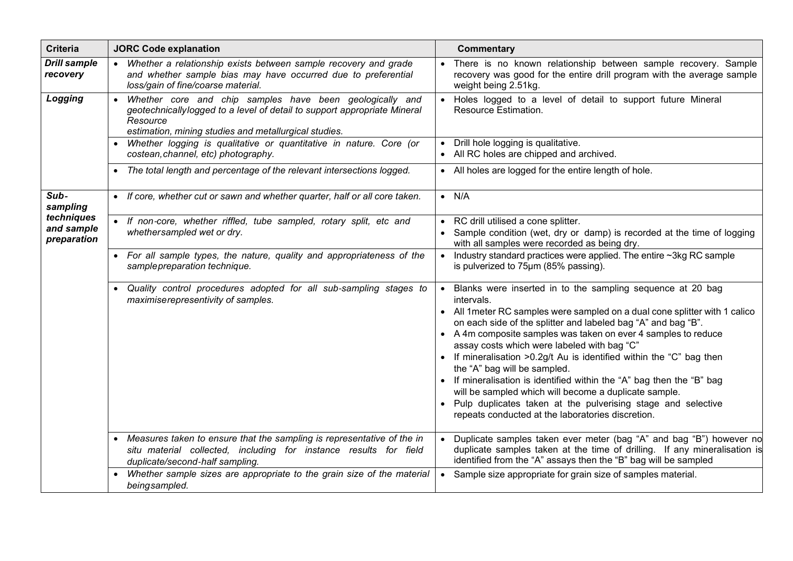| <b>Criteria</b>                         | <b>JORC Code explanation</b>                                                                                                                                                                               | Commentary                                                                                                                                                                                                                                                                                                                                                                                                                                                                                                                                                                                                                                                                                                |
|-----------------------------------------|------------------------------------------------------------------------------------------------------------------------------------------------------------------------------------------------------------|-----------------------------------------------------------------------------------------------------------------------------------------------------------------------------------------------------------------------------------------------------------------------------------------------------------------------------------------------------------------------------------------------------------------------------------------------------------------------------------------------------------------------------------------------------------------------------------------------------------------------------------------------------------------------------------------------------------|
| <b>Drill sample</b><br>recovery         | Whether a relationship exists between sample recovery and grade<br>and whether sample bias may have occurred due to preferential<br>loss/gain of fine/coarse material.                                     | There is no known relationship between sample recovery. Sample<br>recovery was good for the entire drill program with the average sample<br>weight being 2.51kg.                                                                                                                                                                                                                                                                                                                                                                                                                                                                                                                                          |
| Logging                                 | Whether core and chip samples have been geologically and<br>geotechnically logged to a level of detail to support appropriate Mineral<br>Resource<br>estimation, mining studies and metallurgical studies. | Holes logged to a level of detail to support future Mineral<br>Resource Estimation.                                                                                                                                                                                                                                                                                                                                                                                                                                                                                                                                                                                                                       |
|                                         | Whether logging is qualitative or quantitative in nature. Core (or<br>costean, channel, etc) photography.                                                                                                  | Drill hole logging is qualitative.<br>All RC holes are chipped and archived.                                                                                                                                                                                                                                                                                                                                                                                                                                                                                                                                                                                                                              |
|                                         | The total length and percentage of the relevant intersections logged.                                                                                                                                      | • All holes are logged for the entire length of hole.                                                                                                                                                                                                                                                                                                                                                                                                                                                                                                                                                                                                                                                     |
| Sub-<br>sampling                        | If core, whether cut or sawn and whether quarter, half or all core taken.                                                                                                                                  | $\bullet$ N/A                                                                                                                                                                                                                                                                                                                                                                                                                                                                                                                                                                                                                                                                                             |
| techniques<br>and sample<br>preparation | • If non-core, whether riffled, tube sampled, rotary split, etc and<br>whethersampled wet or dry.                                                                                                          | • RC drill utilised a cone splitter.<br>Sample condition (wet, dry or damp) is recorded at the time of logging<br>with all samples were recorded as being dry.                                                                                                                                                                                                                                                                                                                                                                                                                                                                                                                                            |
|                                         | • For all sample types, the nature, quality and appropriateness of the<br>sample preparation technique.                                                                                                    | Industry standard practices were applied. The entire ~3kg RC sample<br>is pulverized to 75um (85% passing).                                                                                                                                                                                                                                                                                                                                                                                                                                                                                                                                                                                               |
|                                         | Quality control procedures adopted for all sub-sampling stages to<br>maximiserepresentivity of samples.                                                                                                    | Blanks were inserted in to the sampling sequence at 20 bag<br>intervals.<br>• All 1 meter RC samples were sampled on a dual cone splitter with 1 calico<br>on each side of the splitter and labeled bag "A" and bag "B".<br>• A 4m composite samples was taken on ever 4 samples to reduce<br>assay costs which were labeled with bag "C"<br>• If mineralisation > 0.2g/t Au is identified within the "C" bag then<br>the "A" bag will be sampled.<br>• If mineralisation is identified within the "A" bag then the "B" bag<br>will be sampled which will become a duplicate sample.<br>Pulp duplicates taken at the pulverising stage and selective<br>repeats conducted at the laboratories discretion. |
|                                         | Measures taken to ensure that the sampling is representative of the in<br>situ material collected, including for instance results for field<br>duplicate/second-half sampling.                             | Duplicate samples taken ever meter (bag "A" and bag "B") however no<br>duplicate samples taken at the time of drilling. If any mineralisation is<br>identified from the "A" assays then the "B" bag will be sampled                                                                                                                                                                                                                                                                                                                                                                                                                                                                                       |
|                                         | Whether sample sizes are appropriate to the grain size of the material<br>beingsampled.                                                                                                                    | Sample size appropriate for grain size of samples material.                                                                                                                                                                                                                                                                                                                                                                                                                                                                                                                                                                                                                                               |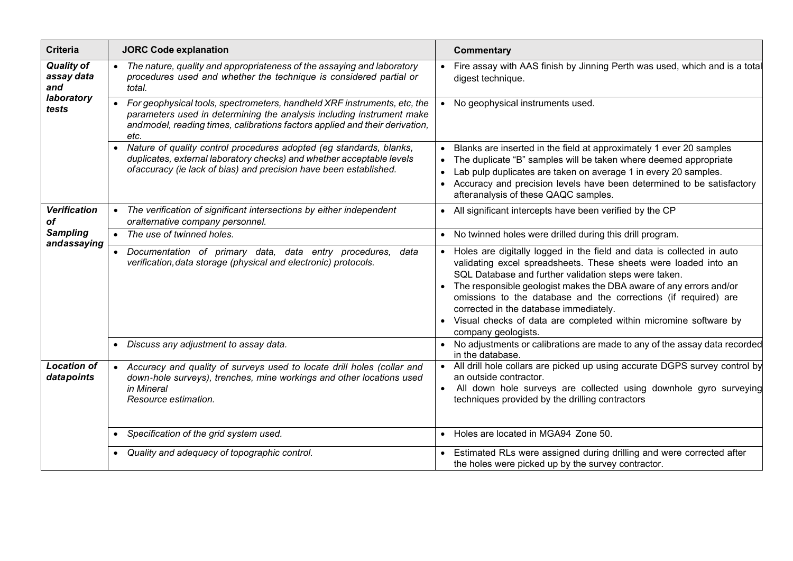| <b>Criteria</b>                                               | <b>JORC Code explanation</b>                                                                                                                                                                                                              | <b>Commentary</b>                                                                                                                                                                                                                                                                                                                                                                                                                                                                            |
|---------------------------------------------------------------|-------------------------------------------------------------------------------------------------------------------------------------------------------------------------------------------------------------------------------------------|----------------------------------------------------------------------------------------------------------------------------------------------------------------------------------------------------------------------------------------------------------------------------------------------------------------------------------------------------------------------------------------------------------------------------------------------------------------------------------------------|
| <b>Quality of</b><br>assay data<br>and<br>laboratory<br>tests | The nature, quality and appropriateness of the assaying and laboratory<br>procedures used and whether the technique is considered partial or<br>total.                                                                                    | Fire assay with AAS finish by Jinning Perth was used, which and is a total<br>digest technique.                                                                                                                                                                                                                                                                                                                                                                                              |
|                                                               | For geophysical tools, spectrometers, handheld XRF instruments, etc, the<br>parameters used in determining the analysis including instrument make<br>and model, reading times, calibrations factors applied and their derivation,<br>etc. | No geophysical instruments used.                                                                                                                                                                                                                                                                                                                                                                                                                                                             |
|                                                               | Nature of quality control procedures adopted (eg standards, blanks,<br>duplicates, external laboratory checks) and whether acceptable levels<br>ofaccuracy (ie lack of bias) and precision have been established.                         | Blanks are inserted in the field at approximately 1 ever 20 samples<br>$\bullet$<br>The duplicate "B" samples will be taken where deemed appropriate<br>Lab pulp duplicates are taken on average 1 in every 20 samples.<br>$\bullet$<br>Accuracy and precision levels have been determined to be satisfactory<br>afteranalysis of these QAQC samples.                                                                                                                                        |
| <b>Verification</b><br><b>of</b>                              | • The verification of significant intersections by either independent<br>oralternative company personnel.                                                                                                                                 | All significant intercepts have been verified by the CP<br>$\bullet$                                                                                                                                                                                                                                                                                                                                                                                                                         |
| <b>Sampling</b>                                               | • The use of twinned holes.                                                                                                                                                                                                               | No twinned holes were drilled during this drill program.<br>$\bullet$                                                                                                                                                                                                                                                                                                                                                                                                                        |
| andassaying                                                   | · Documentation of primary data, data entry procedures, data<br>verification, data storage (physical and electronic) protocols.                                                                                                           | Holes are digitally logged in the field and data is collected in auto<br>$\bullet$<br>validating excel spreadsheets. These sheets were loaded into an<br>SQL Database and further validation steps were taken.<br>The responsible geologist makes the DBA aware of any errors and/or<br>omissions to the database and the corrections (if required) are<br>corrected in the database immediately.<br>Visual checks of data are completed within micromine software by<br>company geologists. |
|                                                               | • Discuss any adjustment to assay data.                                                                                                                                                                                                   | No adjustments or calibrations are made to any of the assay data recorded<br>$\bullet$<br>in the database.                                                                                                                                                                                                                                                                                                                                                                                   |
| <b>Location of</b><br>datapoints                              | Accuracy and quality of surveys used to locate drill holes (collar and<br>down-hole surveys), trenches, mine workings and other locations used<br>in Mineral<br>Resource estimation.                                                      | All drill hole collars are picked up using accurate DGPS survey control by<br>an outside contractor.<br>All down hole surveys are collected using downhole gyro surveying<br>techniques provided by the drilling contractors                                                                                                                                                                                                                                                                 |
|                                                               | Specification of the grid system used.<br>$\bullet$                                                                                                                                                                                       | Holes are located in MGA94 Zone 50.<br>$\bullet$                                                                                                                                                                                                                                                                                                                                                                                                                                             |
|                                                               | • Quality and adequacy of topographic control.                                                                                                                                                                                            | Estimated RLs were assigned during drilling and were corrected after<br>the holes were picked up by the survey contractor.                                                                                                                                                                                                                                                                                                                                                                   |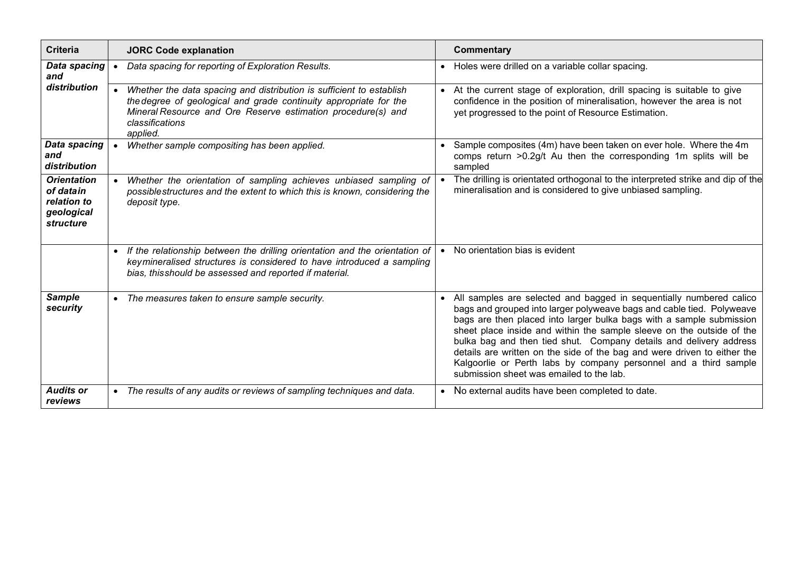| <b>Criteria</b>                                                           | <b>JORC Code explanation</b>                                                                                                                                                                                                             | <b>Commentary</b>                                                                                                                                                                                                                                                                                                                                                                                                                                                                                                                                               |
|---------------------------------------------------------------------------|------------------------------------------------------------------------------------------------------------------------------------------------------------------------------------------------------------------------------------------|-----------------------------------------------------------------------------------------------------------------------------------------------------------------------------------------------------------------------------------------------------------------------------------------------------------------------------------------------------------------------------------------------------------------------------------------------------------------------------------------------------------------------------------------------------------------|
| Data spacing<br>and                                                       | Data spacing for reporting of Exploration Results.                                                                                                                                                                                       | • Holes were drilled on a variable collar spacing.                                                                                                                                                                                                                                                                                                                                                                                                                                                                                                              |
| distribution                                                              | Whether the data spacing and distribution is sufficient to establish<br>the degree of geological and grade continuity appropriate for the<br>Mineral Resource and Ore Reserve estimation procedure(s) and<br>classifications<br>applied. | At the current stage of exploration, drill spacing is suitable to give<br>$\bullet$<br>confidence in the position of mineralisation, however the area is not<br>yet progressed to the point of Resource Estimation.                                                                                                                                                                                                                                                                                                                                             |
| <b>Data spacing</b><br>and<br>distribution                                | Whether sample compositing has been applied.                                                                                                                                                                                             | Sample composites (4m) have been taken on ever hole. Where the 4m<br>comps return >0.2g/t Au then the corresponding 1m splits will be<br>sampled                                                                                                                                                                                                                                                                                                                                                                                                                |
| <b>Orientation</b><br>of datain<br>relation to<br>geological<br>structure | Whether the orientation of sampling achieves unbiased sampling of<br>possible structures and the extent to which this is known, considering the<br>deposit type.                                                                         | The drilling is orientated orthogonal to the interpreted strike and dip of the<br>mineralisation and is considered to give unbiased sampling.                                                                                                                                                                                                                                                                                                                                                                                                                   |
|                                                                           | If the relationship between the drilling orientation and the orientation of<br>keymineralised structures is considered to have introduced a sampling<br>bias, this should be assessed and reported if material.                          | No orientation bias is evident                                                                                                                                                                                                                                                                                                                                                                                                                                                                                                                                  |
| <b>Sample</b><br>security                                                 | • The measures taken to ensure sample security.                                                                                                                                                                                          | All samples are selected and bagged in sequentially numbered calico<br>bags and grouped into larger polyweave bags and cable tied. Polyweave<br>bags are then placed into larger bulka bags with a sample submission<br>sheet place inside and within the sample sleeve on the outside of the<br>bulka bag and then tied shut. Company details and delivery address<br>details are written on the side of the bag and were driven to either the<br>Kalgoorlie or Perth labs by company personnel and a third sample<br>submission sheet was emailed to the lab. |
| <b>Audits or</b><br>reviews                                               | • The results of any audits or reviews of sampling techniques and data.                                                                                                                                                                  | No external audits have been completed to date.                                                                                                                                                                                                                                                                                                                                                                                                                                                                                                                 |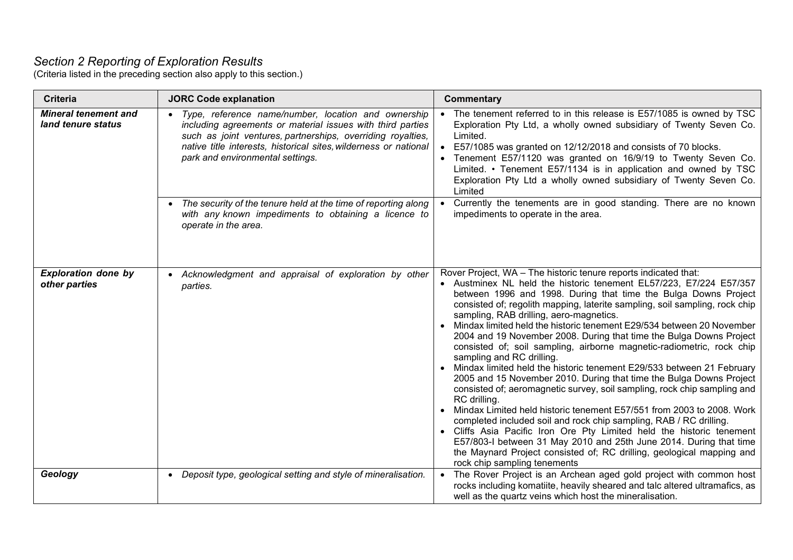#### *Section 2 Reporting of Exploration Results*

(Criteria listed in the preceding section also apply to this section.)

| <b>Criteria</b>                                   | <b>JORC Code explanation</b>                                                                                                                                                                                                                                                                                                                                 | <b>Commentary</b>                                                                                                                                                                                                                                                                                                                                                                                                                                                                                                                                                                                                                                                                                                                                                                                                                                                                                                                                                                                                                                                                                                                                                                                                                             |
|---------------------------------------------------|--------------------------------------------------------------------------------------------------------------------------------------------------------------------------------------------------------------------------------------------------------------------------------------------------------------------------------------------------------------|-----------------------------------------------------------------------------------------------------------------------------------------------------------------------------------------------------------------------------------------------------------------------------------------------------------------------------------------------------------------------------------------------------------------------------------------------------------------------------------------------------------------------------------------------------------------------------------------------------------------------------------------------------------------------------------------------------------------------------------------------------------------------------------------------------------------------------------------------------------------------------------------------------------------------------------------------------------------------------------------------------------------------------------------------------------------------------------------------------------------------------------------------------------------------------------------------------------------------------------------------|
| <b>Mineral tenement and</b><br>land tenure status | Type, reference name/number, location and ownership<br>including agreements or material issues with third parties<br>such as joint ventures, partnerships, overriding royalties,<br>native title interests, historical sites, wilderness or national<br>park and environmental settings.<br>• The security of the tenure held at the time of reporting along | • The tenement referred to in this release is E57/1085 is owned by TSC<br>Exploration Pty Ltd, a wholly owned subsidiary of Twenty Seven Co.<br>Limited.<br>• E57/1085 was granted on 12/12/2018 and consists of 70 blocks.<br>• Tenement E57/1120 was granted on 16/9/19 to Twenty Seven Co.<br>Limited. • Tenement E57/1134 is in application and owned by TSC<br>Exploration Pty Ltd a wholly owned subsidiary of Twenty Seven Co.<br>Limited<br>• Currently the tenements are in good standing. There are no known                                                                                                                                                                                                                                                                                                                                                                                                                                                                                                                                                                                                                                                                                                                        |
|                                                   | with any known impediments to obtaining a licence to<br>operate in the area.                                                                                                                                                                                                                                                                                 | impediments to operate in the area.                                                                                                                                                                                                                                                                                                                                                                                                                                                                                                                                                                                                                                                                                                                                                                                                                                                                                                                                                                                                                                                                                                                                                                                                           |
| <b>Exploration done by</b><br>other parties       | • Acknowledgment and appraisal of exploration by other<br>parties.                                                                                                                                                                                                                                                                                           | Rover Project, WA - The historic tenure reports indicated that:<br>• Austminex NL held the historic tenement EL57/223, E7/224 E57/357<br>between 1996 and 1998. During that time the Bulga Downs Project<br>consisted of; regolith mapping, laterite sampling, soil sampling, rock chip<br>sampling, RAB drilling, aero-magnetics.<br>Mindax limited held the historic tenement E29/534 between 20 November<br>2004 and 19 November 2008. During that time the Bulga Downs Project<br>consisted of; soil sampling, airborne magnetic-radiometric, rock chip<br>sampling and RC drilling.<br>• Mindax limited held the historic tenement E29/533 between 21 February<br>2005 and 15 November 2010. During that time the Bulga Downs Project<br>consisted of; aeromagnetic survey, soil sampling, rock chip sampling and<br>RC drilling.<br>Mindax Limited held historic tenement E57/551 from 2003 to 2008. Work<br>completed included soil and rock chip sampling, RAB / RC drilling.<br>• Cliffs Asia Pacific Iron Ore Pty Limited held the historic tenement<br>E57/803-I between 31 May 2010 and 25th June 2014. During that time<br>the Maynard Project consisted of; RC drilling, geological mapping and<br>rock chip sampling tenements |
| Geology                                           | • Deposit type, geological setting and style of mineralisation.                                                                                                                                                                                                                                                                                              | • The Rover Project is an Archean aged gold project with common host<br>rocks including komatiite, heavily sheared and talc altered ultramafics, as<br>well as the quartz veins which host the mineralisation.                                                                                                                                                                                                                                                                                                                                                                                                                                                                                                                                                                                                                                                                                                                                                                                                                                                                                                                                                                                                                                |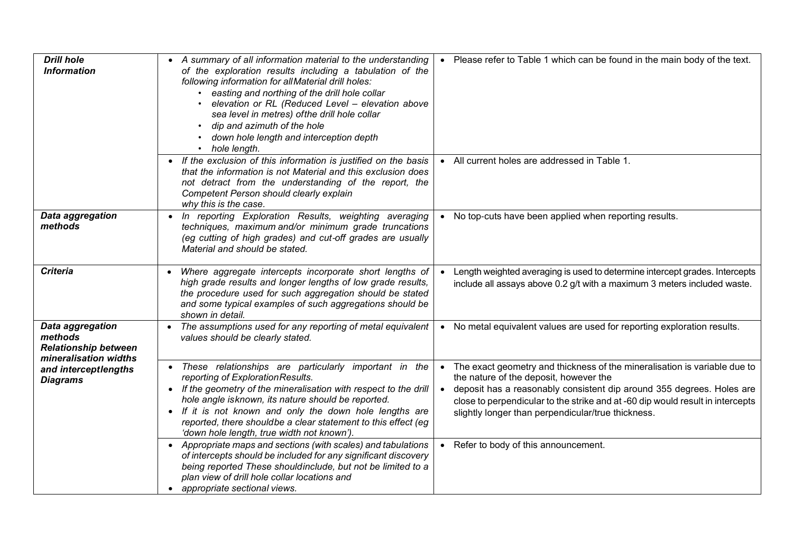| <b>Drill hole</b><br><b>Information</b>                                             | • A summary of all information material to the understanding<br>of the exploration results including a tabulation of the<br>following information for allMaterial drill holes:<br>• easting and northing of the drill hole collar<br>elevation or RL (Reduced Level - elevation above<br>sea level in metres) of the drill hole collar<br>dip and azimuth of the hole<br>down hole length and interception depth<br>hole length.                                   | • Please refer to Table 1 which can be found in the main body of the text.                                                                                                                                                                                                                                                                                                        |
|-------------------------------------------------------------------------------------|--------------------------------------------------------------------------------------------------------------------------------------------------------------------------------------------------------------------------------------------------------------------------------------------------------------------------------------------------------------------------------------------------------------------------------------------------------------------|-----------------------------------------------------------------------------------------------------------------------------------------------------------------------------------------------------------------------------------------------------------------------------------------------------------------------------------------------------------------------------------|
|                                                                                     | • If the exclusion of this information is justified on the basis<br>that the information is not Material and this exclusion does<br>not detract from the understanding of the report, the<br>Competent Person should clearly explain<br>why this is the case.                                                                                                                                                                                                      | • All current holes are addressed in Table 1.                                                                                                                                                                                                                                                                                                                                     |
| Data aggregation<br>methods                                                         | • In reporting Exploration Results, weighting averaging<br>techniques, maximum and/or minimum grade truncations<br>(eg cutting of high grades) and cut-off grades are usually<br>Material and should be stated.                                                                                                                                                                                                                                                    | • No top-cuts have been applied when reporting results.                                                                                                                                                                                                                                                                                                                           |
| <b>Criteria</b>                                                                     | Where aggregate intercepts incorporate short lengths of<br>high grade results and longer lengths of low grade results,<br>the procedure used for such aggregation should be stated<br>and some typical examples of such aggregations should be<br>shown in detail.                                                                                                                                                                                                 | Length weighted averaging is used to determine intercept grades. Intercepts<br>include all assays above 0.2 g/t with a maximum 3 meters included waste.                                                                                                                                                                                                                           |
| Data aggregation<br>methods<br><b>Relationship between</b><br>mineralisation widths | The assumptions used for any reporting of metal equivalent<br>values should be clearly stated.                                                                                                                                                                                                                                                                                                                                                                     | • No metal equivalent values are used for reporting exploration results.                                                                                                                                                                                                                                                                                                          |
| and interceptlengths<br><b>Diagrams</b>                                             | • These relationships are particularly important in the<br>reporting of Exploration Results.<br>• If the geometry of the mineralisation with respect to the drill<br>hole angle isknown, its nature should be reported.<br>• If it is not known and only the down hole lengths are<br>reported, there shouldbe a clear statement to this effect (eg<br>'down hole length, true width not known').<br>• Appropriate maps and sections (with scales) and tabulations | • The exact geometry and thickness of the mineralisation is variable due to<br>the nature of the deposit, however the<br>• deposit has a reasonably consistent dip around 355 degrees. Holes are<br>close to perpendicular to the strike and at -60 dip would result in intercepts<br>slightly longer than perpendicular/true thickness.<br>• Refer to body of this announcement. |
|                                                                                     | of intercepts should be included for any significant discovery<br>being reported These shouldinclude, but not be limited to a<br>plan view of drill hole collar locations and<br>• appropriate sectional views.                                                                                                                                                                                                                                                    |                                                                                                                                                                                                                                                                                                                                                                                   |